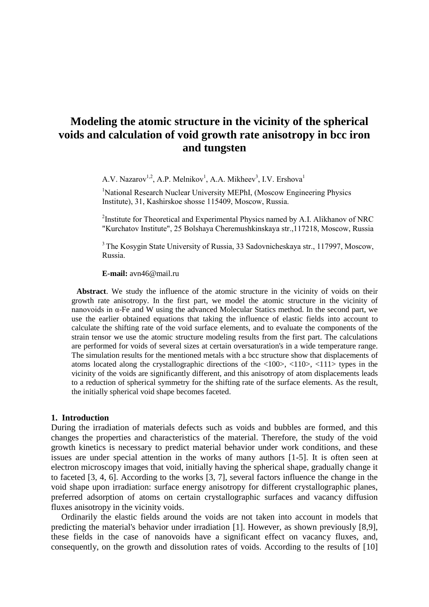# **Modeling the atomic structure in the vicinity of the spherical voids and calculation of void growth rate anisotropy in bcc iron and tungsten**

A.V. Nazarov<sup>1,2</sup>, A.P. Melnikov<sup>1</sup>, A.A. Mikheev<sup>3</sup>, I.V. Ershova<sup>1</sup>

<sup>1</sup>National Research Nuclear University MEPhI, (Moscow Engineering Physics Institute), 31, Kashirskoe shosse 115409, Moscow, Russia.

<sup>2</sup>Institute for Theoretical and Experimental Physics named by A.I. Alikhanov of NRC "Kurchatov Institute", 25 Bolshaya Cheremushkinskaya str.,117218, Moscow, Russia

<sup>3</sup> The Kosygin State University of Russia, 33 Sadovnicheskaya str., 117997, Moscow, Russia.

**E-mail:** avn46@mail.ru

**Abstract**. We study the influence of the atomic structure in the vicinity of voids on their growth rate anisotropy. In the first part, we model the atomic structure in the vicinity of nanovoids in α-Fe and W using the advanced Molecular Statics method. In the second part, we use the earlier obtained equations that taking the influence of elastic fields into account to calculate the shifting rate of the void surface elements, and to evaluate the components of the strain tensor we use the atomic structure modeling results from the first part. The calculations are performed for voids of several sizes at certain oversaturation's in a wide temperature range. The simulation results for the mentioned metals with a bcc structure show that displacements of atoms located along the crystallographic directions of the  $\langle 100 \rangle$ ,  $\langle 110 \rangle$ ,  $\langle 111 \rangle$  types in the vicinity of the voids are significantly different, and this anisotropy of atom displacements leads to a reduction of spherical symmetry for the shifting rate of the surface elements. As the result, the initially spherical void shape becomes faceted.

### **1. Introduction**

During the irradiation of materials defects such as voids and bubbles are formed, and this changes the properties and characteristics of the material. Therefore, the study of the void growth kinetics is necessary to predict material behavior under work conditions, and these issues are under special attention in the works of many authors [1-5]. It is often seen at electron microscopy images that void, initially having the spherical shape, gradually change it to faceted [3, 4, 6]. According to the works [3, 7], several factors influence the change in the void shape upon irradiation: surface energy anisotropy for different crystallographic planes, preferred adsorption of atoms on certain crystallographic surfaces and vacancy diffusion fluxes anisotropy in the vicinity voids.

Ordinarily the elastic fields around the voids are not taken into account in models that predicting the material's behavior under irradiation [1]. However, as shown previously [8,9], these fields in the case of nanovoids have a significant effect on vacancy fluxes, and, consequently, on the growth and dissolution rates of voids. According to the results of [10]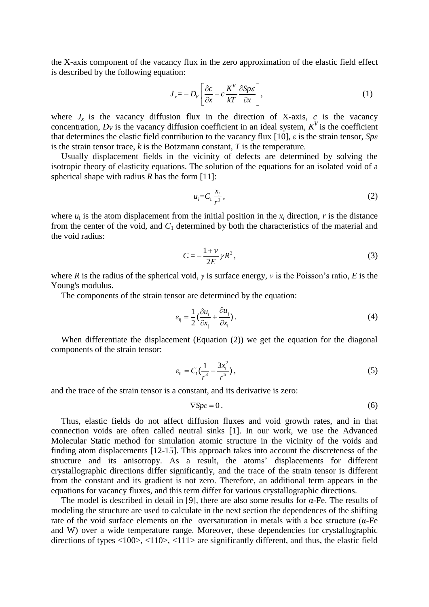the X-axis component of the vacancy flux in the zero approximation of the elastic field effect is described by the following equation:

$$
J_x = -D_v \left[ \frac{\partial c}{\partial x} - c \frac{K^v}{kT} \frac{\partial Sp\epsilon}{\partial x} \right],
$$
 (1)

where  $J_x$  is the vacancy diffusion flux in the direction of X-axis,  $c$  is the vacancy concentration,  $D_V$  is the vacancy diffusion coefficient in an ideal system,  $K^V$  is the coefficient that determines the elastic field contribution to the vacancy flux [10], *ε* is the strain tensor, *Spε* is the strain tensor trace, *k* is the Botzmann constant, *T* is the temperature.

Usually displacement fields in the vicinity of defects are determined by solving the isotropic theory of elasticity equations. The solution of the equations for an isolated void of a spherical shape with radius *R* has the form [11]:

$$
u_i = C_1 \frac{x_i}{r^3},\tag{2}
$$

where  $u_i$  is the atom displacement from the initial position in the  $x_i$  direction,  $r$  is the distance from the center of the void, and *C*<sup>1</sup> determined by both the characteristics of the material and the void radius:

$$
C_1 = -\frac{1+\nu}{2E} \gamma R^2, \qquad (3)
$$

where *R* is the radius of the spherical void, *γ* is surface energy, *ν* is the Poisson's ratio, *E* is the Young's modulus.

The components of the strain tensor are determined by the equation:

$$
\varepsilon_{ij} = \frac{1}{2} \left( \frac{\partial u_i}{\partial x_j} + \frac{\partial u_j}{\partial x_i} \right). \tag{4}
$$

When differentiate the displacement (Equation (2)) we get the equation for the diagonal components of the strain tensor:

$$
\varepsilon_{ii} = C_1 \left( \frac{1}{r^3} - \frac{3x_i^2}{r^5} \right),\tag{5}
$$

and the trace of the strain tensor is a constant, and its derivative is zero:

$$
\nabla S p \varepsilon = 0. \tag{6}
$$

Thus, elastic fields do not affect diffusion fluxes and void growth rates, and in that connection voids are often called neutral sinks [1]. In our work, we use the Advanced Molecular Static method for simulation atomic structure in the vicinity of the voids and finding atom displacements [12-15]. This approach takes into account the discreteness of the structure and its anisotropy. As a result, the atoms' displacements for different crystallographic directions differ significantly, and the trace of the strain tensor is different from the constant and its gradient is not zero. Therefore, an additional term appears in the equations for vacancy fluxes, and this term differ for various crystallographic directions.

The model is described in detail in [9], there are also some results for  $\alpha$ -Fe. The results of modeling the structure are used to calculate in the next section the dependences of the shifting rate of the void surface elements on the oversaturation in metals with a bcc structure ( $\alpha$ -Fe and W) over a wide temperature range. Moreover, these dependencies for crystallographic directions of types <100>, <110>, <111> are significantly different, and thus, the elastic field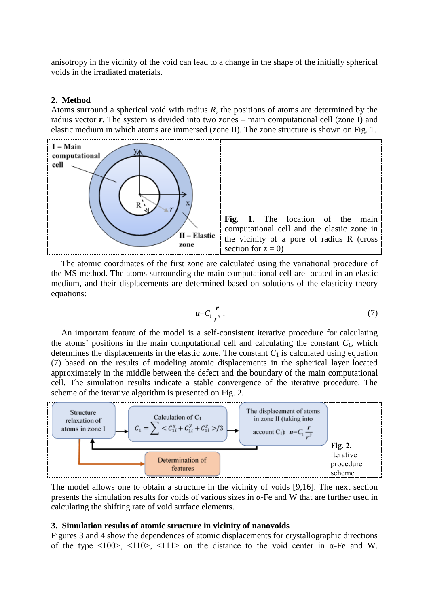anisotropy in the vicinity of the void can lead to a change in the shape of the initially spherical voids in the irradiated materials.

### **2. Method**

Atoms surround a spherical void with radius *R*, the positions of atoms are determined by the radius vector *r*. The system is divided into two zones – main computational cell (zone I) and elastic medium in which atoms are immersed (zone II). The zone structure is shown on Fig. 1.



The atomic coordinates of the first zone are calculated using the variational procedure of the MS method. The atoms surrounding the main computational cell are located in an elastic medium, and their displacements are determined based on solutions of the elasticity theory equations:

$$
u=C_1\frac{r}{r^3}.\tag{7}
$$

An important feature of the model is a self-consistent iterative procedure for calculating the atoms' positions in the main computational cell and calculating the constant  $C_1$ , which determines the displacements in the elastic zone. The constant  $C_1$  is calculated using equation (7) based on the results of modeling atomic displacements in the spherical layer located approximately in the middle between the defect and the boundary of the main computational cell. The simulation results indicate a stable convergence of the iterative procedure. The scheme of the iterative algorithm is presented on Fig. 2.



The model allows one to obtain a structure in the vicinity of voids [9,16]. The next section presents the simulation results for voids of various sizes in α-Fe and W that are further used in calculating the shifting rate of void surface elements.

### **3. Simulation results of atomic structure in vicinity of nanovoids**

Figures 3 and 4 show the dependences of atomic displacements for crystallographic directions of the type  $\langle 100 \rangle$ ,  $\langle 110 \rangle$ ,  $\langle 111 \rangle$  on the distance to the void center in  $\alpha$ -Fe and W.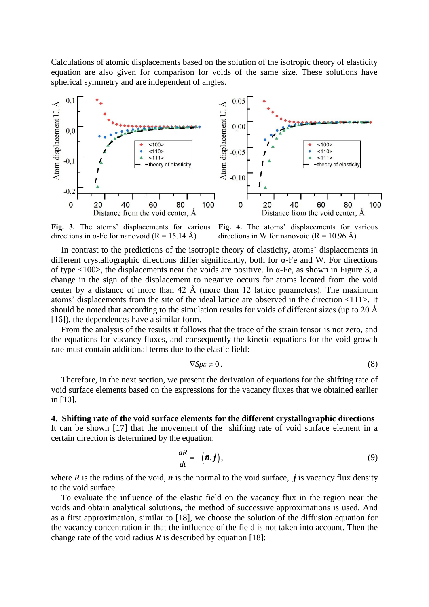Calculations of atomic displacements based on the solution of the isotropic theory of elasticity equation are also given for comparison for voids of the same size. These solutions have spherical symmetry and are independent of angles.



**Fig. 3.** The atoms' displacements for various directions in α-Fe for nanovoid  $(R = 15.14 \text{ Å})$ 

**Fig. 4.** The atoms' displacements for various directions in W for nanovoid  $(R = 10.96 \text{ Å})$ 

In contrast to the predictions of the isotropic theory of elasticity, atoms' displacements in different crystallographic directions differ significantly, both for α-Fe and W. For directions of type  $\langle 100 \rangle$ , the displacements near the voids are positive. In α-Fe, as shown in Figure 3, a change in the sign of the displacement to negative occurs for atoms located from the void center by a distance of more than  $42 \text{ Å}$  (more than 12 lattice parameters). The maximum atoms' displacements from the site of the ideal lattice are observed in the direction <111>. It should be noted that according to the simulation results for voids of different sizes (up to 20 Å [16]), the dependences have a similar form.

From the analysis of the results it follows that the trace of the strain tensor is not zero, and the equations for vacancy fluxes, and consequently the kinetic equations for the void growth rate must contain additional terms due to the elastic field:

$$
\nabla S p \varepsilon \neq 0. \tag{8}
$$

Therefore, in the next section, we present the derivation of equations for the shifting rate of void surface elements based on the expressions for the vacancy fluxes that we obtained earlier in [10].

## **4. Shifting rate of the void surface elements for the different crystallographic directions**

It can be shown [17] that the movement of the shifting rate of void surface element in a certain direction is determined by the equation:

$$
\frac{dR}{dt} = -(\vec{n}, \vec{j}\,),\tag{9}
$$

where *R* is the radius of the void, *n* is the normal to the void surface, *j* is vacancy flux density to the void surface.

To evaluate the influence of the elastic field on the vacancy flux in the region near the voids and obtain analytical solutions, the method of successive approximations is used. And as a first approximation, similar to [18], we choose the solution of the diffusion equation for the vacancy concentration in that the influence of the field is not taken into account. Then the change rate of the void radius  $R$  is described by equation [18]: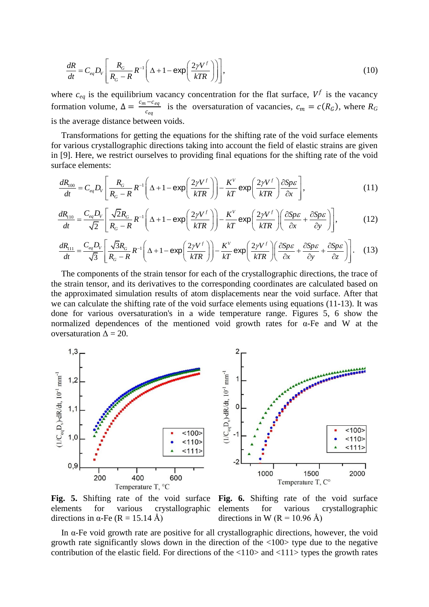$$
\frac{dR}{dt} = C_{eq}D_V \left[ \frac{R_G}{R_G - R} R^{-1} \left( \Delta + 1 - \exp\left(\frac{2\gamma V^f}{kTR}\right) \right) \right],
$$
\n(10)

where  $c_{eq}$  is the equilibrium vacancy concentration for the flat surface,  $V^f$  is the vacancy formation volume,  $\Delta = \frac{c_m - c_{eq}}{a}$  $\frac{C_{eq}}{C_{eq}}$  is the oversaturation of vacancies,  $c_m = c(R_G)$ , where  $R_G$ is the average distance between voids.

Transformations for getting the equations for the shifting rate of the void surface elements for various crystallographic directions taking into account the field of elastic strains are given in [9]. Here, we restrict ourselves to providing final equations for the shifting rate of the void<br>surface elements:<br> $\frac{dR_{100}}{dt} = C_{eq}D_v \left[ \frac{R_G}{R} R^{-1} \left( \Delta + 1 - \exp\left( \frac{2\gamma V^f}{kT R} \right) \right) - \frac{K^V}{kT} \exp\left( \frac{2\gamma V^f}{kT R} \right) \$ surface elements:

[9]. Here, we restrict ourselves to providing final equations for the shifting rate of the void  
\nrface elements:  
\n
$$
\frac{dR_{100}}{dt} = C_{eq}D_{V} \left[ \frac{R_{G}}{R_{G} - R} R^{-1} \left( \Delta + 1 - \exp\left(\frac{2\gamma V^{f}}{kTR}\right) \right) - \frac{K^{V}}{kT} \exp\left(\frac{2\gamma V^{f}}{kTR}\right) \frac{\partial Sp\epsilon}{\partial x} \right],
$$
\n(11)  
\n
$$
\frac{dR_{110}}{dt} = \frac{C_{eq}D_{V}}{\sqrt{2}} \left[ \frac{\sqrt{2}R_{G}}{R_{G} - R} R^{-1} \left( \Delta + 1 - \exp\left(\frac{2\gamma V^{f}}{kTR}\right) \right) - \frac{K^{V}}{kT} \exp\left(\frac{2\gamma V^{f}}{kTP}\right) \left( \frac{\partial Sp\epsilon}{\partial x} + \frac{\partial Sp\epsilon}{\partial y} \right) \right],
$$
\n(12)

$$
\frac{dR_{100}}{dt} = C_{eq}D_{V} \left[ \frac{R_{G}}{R_{G} - R} R^{-1} \left( \Delta + 1 - \exp\left(\frac{2\gamma V'}{kTR}\right) \right) - \frac{K'}{kT} \exp\left(\frac{2\gamma V'}{kTR}\right) \frac{\partial Sp\epsilon}{\partial x} \right],
$$
\n(11)  
\n
$$
\frac{dR_{110}}{dt} = \frac{C_{eq}D_{V}}{\sqrt{2}} \left[ \frac{\sqrt{2}R_{G}}{R_{G} - R} R^{-1} \left( \Delta + 1 - \exp\left(\frac{2\gamma V'}{kTR}\right) \right) - \frac{K'}{kT} \exp\left(\frac{2\gamma V'}{kTR}\right) \left( \frac{\partial Sp\epsilon}{\partial x} + \frac{\partial Sp\epsilon}{\partial y} \right) \right],
$$
\n(12)  
\n
$$
\frac{dR_{111}}{dt} = \frac{C_{eq}D_{V}}{\sqrt{3}} \left[ \frac{\sqrt{3}R_{G}}{R - R} R^{-1} \left( \Delta + 1 - \exp\left(\frac{2\gamma V'}{kTR}\right) \right) - \frac{K'}{kTR} \exp\left(\frac{2\gamma V'}{kTR}\right) \left( \frac{\partial Sp\epsilon}{\partial x} + \frac{\partial Sp\epsilon}{\partial y} + \frac{\partial Sp\epsilon}{\partial z} \right) \right].
$$
\n(13)

$$
\frac{dR_{110}}{dt} = \frac{C_{eq}D_V}{\sqrt{2}} \left[ \frac{\sqrt{2}R_G}{R_G - R} R^{-1} \left( \Delta + 1 - \exp\left(\frac{2\gamma V^f}{kTR}\right) \right) - \frac{K^V}{kT} \exp\left(\frac{2\gamma V^f}{kTR}\right) \left( \frac{\partial Sp\epsilon}{\partial x} + \frac{\partial Sp\epsilon}{\partial y} \right) \right],
$$
(12)  

$$
\frac{dR_{111}}{dt} = \frac{C_{eq}D_V}{\sqrt{3}} \left[ \frac{\sqrt{3}R_G}{R_G - R} R^{-1} \left( \Delta + 1 - \exp\left(\frac{2\gamma V^f}{kTR}\right) \right) - \frac{K^V}{kT} \exp\left(\frac{2\gamma V^f}{kTR}\right) \left( \frac{\partial Sp\epsilon}{\partial x} + \frac{\partial Sp\epsilon}{\partial y} + \frac{\partial Sp\epsilon}{\partial z} \right) \right].
$$
(13)

The components of the strain tensor for each of the crystallographic directions, the trace of the strain tensor, and its derivatives to the corresponding coordinates are calculated based on the approximated simulation results of atom displacements near the void surface. After that we can calculate the shifting rate of the void surface elements using equations (11-13). It was done for various oversaturation's in a wide temperature range. Figures 5, 6 show the normalized dependences of the mentioned void growth rates for α-Fe and W at the oversaturation  $\Delta = 20$ .



**Fig. 5.** Shifting rate of the void surface elements for various crystallographic directions in  $\alpha$ -Fe (R = 15.14 Å)

**Fig. 6.** Shifting rate of the void surface elements for various crystallographic directions in W (R = 10.96 Å)

In  $\alpha$ -Fe void growth rate are positive for all crystallographic directions, however, the void growth rate significantly slows down in the direction of the <100> type due to the negative contribution of the elastic field. For directions of the <110> and <111> types the growth rates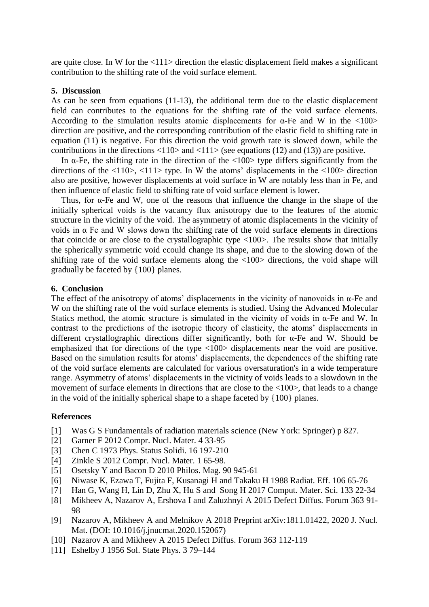are quite close. In W for the <111> direction the elastic displacement field makes a significant contribution to the shifting rate of the void surface element.

### **5. Discussion**

As can be seen from equations (11-13), the additional term due to the elastic displacement field can contributes to the equations for the shifting rate of the void surface elements. According to the simulation results atomic displacements for  $\alpha$ -Fe and W in the <100> direction are positive, and the corresponding contribution of the elastic field to shifting rate in equation (11) is negative. For this direction the void growth rate is slowed down, while the contributions in the directions  $\langle 110 \rangle$  and  $\langle 111 \rangle$  (see equations (12) and (13)) are positive.

In  $\alpha$ -Fe, the shifting rate in the direction of the <100> type differs significantly from the directions of the  $\langle 110 \rangle$ ,  $\langle 111 \rangle$  type. In W the atoms' displacements in the  $\langle 100 \rangle$  direction also are positive, however displacements at void surface in W are notably less than in Fe, and then influence of elastic field to shifting rate of void surface element is lower.

Thus, for  $\alpha$ -Fe and W, one of the reasons that influence the change in the shape of the initially spherical voids is the vacancy flux anisotropy due to the features of the atomic structure in the vicinity of the void. The asymmetry of atomic displacements in the vicinity of voids in α Fe and W slows down the shifting rate of the void surface elements in directions that coincide or are close to the crystallographic type <100>. The results show that initially the spherically symmetric void сcould change its shape, and due to the slowing down of the shifting rate of the void surface elements along the <100> directions, the void shape will gradually be faceted by {100} planes.

### **6. Conclusion**

The effect of the anisotropy of atoms' displacements in the vicinity of nanovoids in  $\alpha$ -Fe and W on the shifting rate of the void surface elements is studied. Using the Advanced Molecular Statics method, the atomic structure is simulated in the vicinity of voids in  $\alpha$ -Fe and W. In contrast to the predictions of the isotropic theory of elasticity, the atoms' displacements in different crystallographic directions differ significantly, both for α-Fe and W. Should be emphasized that for directions of the type <100> displacements near the void are positive. Based on the simulation results for atoms' displacements, the dependences of the shifting rate of the void surface elements are calculated for various oversaturation's in a wide temperature range. Asymmetry of atoms' displacements in the vicinity of voids leads to a slowdown in the movement of surface elements in directions that are close to the <100>, that leads to a change in the void of the initially spherical shape to a shape faceted by {100} planes.

#### **References**

- [1] Was G S Fundamentals of radiation materials science (New York: Springer) p 827.
- [2] Garner F 2012 Compr. Nucl. Mater. 4 33-95
- [3] Chen C 1973 Phys. Status Solidi. 16 197-210
- [4] Zinkle S 2012 Compr. Nucl. Mater. 1 65-98.
- [5] Osetsky Y and Bacon D 2010 Philos. Mag. 90 945-61
- [6] Niwase K, Ezawa T, Fujita F, Kusanagi H and Takaku H 1988 Radiat. Eff. 106 65-76
- [7] Han G, Wang H, Lin D, Zhu X, Hu S and Song H 2017 Comput. Mater. Sci. 133 22-34
- [8] Mikheev A, Nazarov A, Ershova I and Zaluzhnyi A 2015 Defect Diffus. Forum 363 91- 98
- [9] Nazarov A, Mikheev A and Melnikov A 2018 Preprint arXiv:1811.01422, 2020 J. Nucl. Mat. (DOI: 10.1016/j.jnucmat.2020.152067)
- [10] Nazarov A and Mikheev A 2015 Defect Diffus. Forum 363 112-119
- [11] Eshelby J 1956 Sol. State Phys. 3 79–144